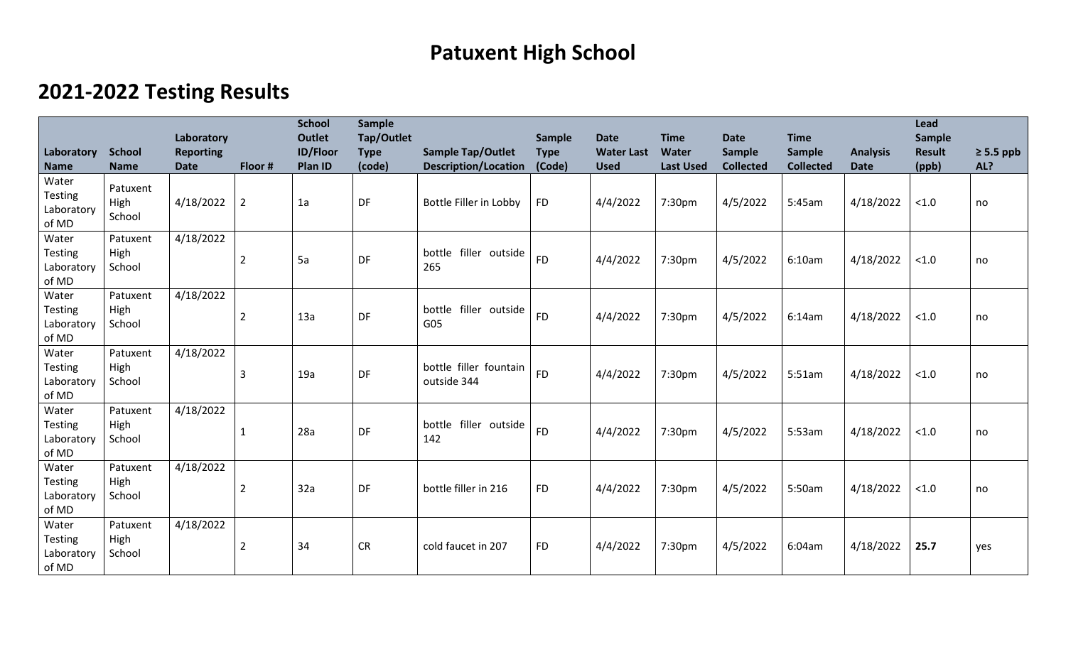## **Patuxent High School**

## **2021-2022 Testing Results**

| Laboratory                                     | <b>School</b>              | Laboratory<br><b>Reporting</b> |                | <b>School</b><br><b>Outlet</b><br><b>ID/Floor</b> | Sample<br>Tap/Outlet<br><b>Type</b> | <b>Sample Tap/Outlet</b>              | Sample<br><b>Type</b> | <b>Date</b><br><b>Water Last</b> | <b>Time</b><br><b>Water</b> | <b>Date</b><br>Sample | <b>Time</b><br><b>Sample</b> | <b>Analysis</b> | <b>Lead</b><br>Sample<br><b>Result</b> | $\geq$ 5.5 ppb |
|------------------------------------------------|----------------------------|--------------------------------|----------------|---------------------------------------------------|-------------------------------------|---------------------------------------|-----------------------|----------------------------------|-----------------------------|-----------------------|------------------------------|-----------------|----------------------------------------|----------------|
| <b>Name</b>                                    | <b>Name</b>                | <b>Date</b>                    | Floor #        | Plan ID                                           | (code)                              | <b>Description/Location</b>           | (Code)                | <b>Used</b>                      | <b>Last Used</b>            | <b>Collected</b>      | <b>Collected</b>             | <b>Date</b>     | (ppb)                                  | AL?            |
| Water<br><b>Testing</b><br>Laboratory<br>of MD | Patuxent<br>High<br>School | 4/18/2022                      | $\overline{2}$ | 1a                                                | DF                                  | Bottle Filler in Lobby                | <b>FD</b>             | 4/4/2022                         | 7:30pm                      | 4/5/2022              | 5:45am                       | 4/18/2022       | < 1.0                                  | no             |
| Water<br><b>Testing</b><br>Laboratory<br>of MD | Patuxent<br>High<br>School | 4/18/2022                      | $\overline{2}$ | 5a                                                | DF                                  | bottle filler outside<br>265          | <b>FD</b>             | 4/4/2022                         | 7:30pm                      | 4/5/2022              | 6:10am                       | 4/18/2022       | < 1.0                                  | no             |
| Water<br><b>Testing</b><br>Laboratory<br>of MD | Patuxent<br>High<br>School | 4/18/2022                      | $\overline{2}$ | 13a                                               | DF                                  | bottle filler outside<br>G05          | <b>FD</b>             | 4/4/2022                         | 7:30pm                      | 4/5/2022              | 6:14am                       | 4/18/2022       | < 1.0                                  | no             |
| Water<br><b>Testing</b><br>Laboratory<br>of MD | Patuxent<br>High<br>School | 4/18/2022                      | 3              | 19a                                               | DF                                  | bottle filler fountain<br>outside 344 | <b>FD</b>             | 4/4/2022                         | 7:30pm                      | 4/5/2022              | 5:51am                       | 4/18/2022       | < 1.0                                  | no             |
| Water<br><b>Testing</b><br>Laboratory<br>of MD | Patuxent<br>High<br>School | 4/18/2022                      |                | 28a                                               | DF                                  | bottle filler outside<br>142          | <b>FD</b>             | 4/4/2022                         | 7:30pm                      | 4/5/2022              | 5:53am                       | 4/18/2022       | < 1.0                                  | no             |
| Water<br><b>Testing</b><br>Laboratory<br>of MD | Patuxent<br>High<br>School | 4/18/2022                      | $\overline{2}$ | 32a                                               | DF                                  | bottle filler in 216                  | <b>FD</b>             | 4/4/2022                         | 7:30pm                      | 4/5/2022              | 5:50am                       | 4/18/2022       | < 1.0                                  | no             |
| Water<br><b>Testing</b><br>Laboratory<br>of MD | Patuxent<br>High<br>School | 4/18/2022                      | $\overline{2}$ | 34                                                | <b>CR</b>                           | cold faucet in 207                    | <b>FD</b>             | 4/4/2022                         | 7:30pm                      | 4/5/2022              | 6:04am                       | 4/18/2022       | 25.7                                   | yes            |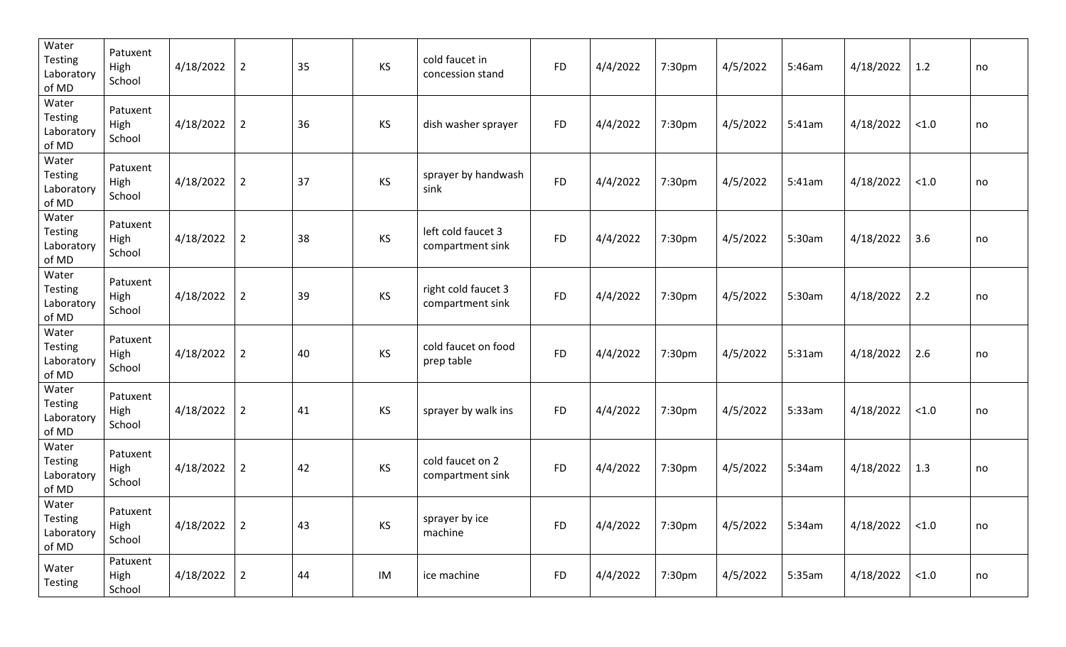| Water<br><b>Testing</b><br>Laboratory<br>of MD | Patuxent<br>High<br>School | 4/18/2022 | $\overline{2}$ | 35 | KS | cold faucet in<br>concession stand      | <b>FD</b> | 4/4/2022 | 7:30pm | 4/5/2022 | 5:46am | 4/18/2022 | 1.2    | no |
|------------------------------------------------|----------------------------|-----------|----------------|----|----|-----------------------------------------|-----------|----------|--------|----------|--------|-----------|--------|----|
| Water<br><b>Testing</b><br>Laboratory<br>of MD | Patuxent<br>High<br>School | 4/18/2022 | $\overline{2}$ | 36 | KS | dish washer sprayer                     | <b>FD</b> | 4/4/2022 | 7:30pm | 4/5/2022 | 5:41am | 4/18/2022 | < 1.0  | no |
| Water<br><b>Testing</b><br>Laboratory<br>of MD | Patuxent<br>High<br>School | 4/18/2022 | $\overline{2}$ | 37 | KS | sprayer by handwash<br>sink             | <b>FD</b> | 4/4/2022 | 7:30pm | 4/5/2022 | 5:41am | 4/18/2022 | < 1.0  | no |
| Water<br><b>Testing</b><br>Laboratory<br>of MD | Patuxent<br>High<br>School | 4/18/2022 | $\overline{2}$ | 38 | KS | left cold faucet 3<br>compartment sink  | <b>FD</b> | 4/4/2022 | 7:30pm | 4/5/2022 | 5:30am | 4/18/2022 | 3.6    | no |
| Water<br><b>Testing</b><br>Laboratory<br>of MD | Patuxent<br>High<br>School | 4/18/2022 | $\overline{2}$ | 39 | KS | right cold faucet 3<br>compartment sink | <b>FD</b> | 4/4/2022 | 7:30pm | 4/5/2022 | 5:30am | 4/18/2022 | 2.2    | no |
| Water<br><b>Testing</b><br>Laboratory<br>of MD | Patuxent<br>High<br>School | 4/18/2022 | $\overline{2}$ | 40 | KS | cold faucet on food<br>prep table       | <b>FD</b> | 4/4/2022 | 7:30pm | 4/5/2022 | 5:31am | 4/18/2022 | 2.6    | no |
| Water<br><b>Testing</b><br>Laboratory<br>of MD | Patuxent<br>High<br>School | 4/18/2022 | $\overline{2}$ | 41 | KS | sprayer by walk ins                     | <b>FD</b> | 4/4/2022 | 7:30pm | 4/5/2022 | 5:33am | 4/18/2022 | < 1.0  | no |
| Water<br><b>Testing</b><br>Laboratory<br>of MD | Patuxent<br>High<br>School | 4/18/2022 | $\overline{2}$ | 42 | KS | cold faucet on 2<br>compartment sink    | <b>FD</b> | 4/4/2022 | 7:30pm | 4/5/2022 | 5:34am | 4/18/2022 | 1.3    | no |
| Water<br><b>Testing</b><br>Laboratory<br>of MD | Patuxent<br>High<br>School | 4/18/2022 | $\overline{2}$ | 43 | KS | sprayer by ice<br>machine               | <b>FD</b> | 4/4/2022 | 7:30pm | 4/5/2022 | 5:34am | 4/18/2022 | < 1.0  | no |
| Water<br>Testing                               | Patuxent<br>High<br>School | 4/18/2022 | $\overline{2}$ | 44 | IM | ice machine                             | <b>FD</b> | 4/4/2022 | 7:30pm | 4/5/2022 | 5:35am | 4/18/2022 | $<1.0$ | no |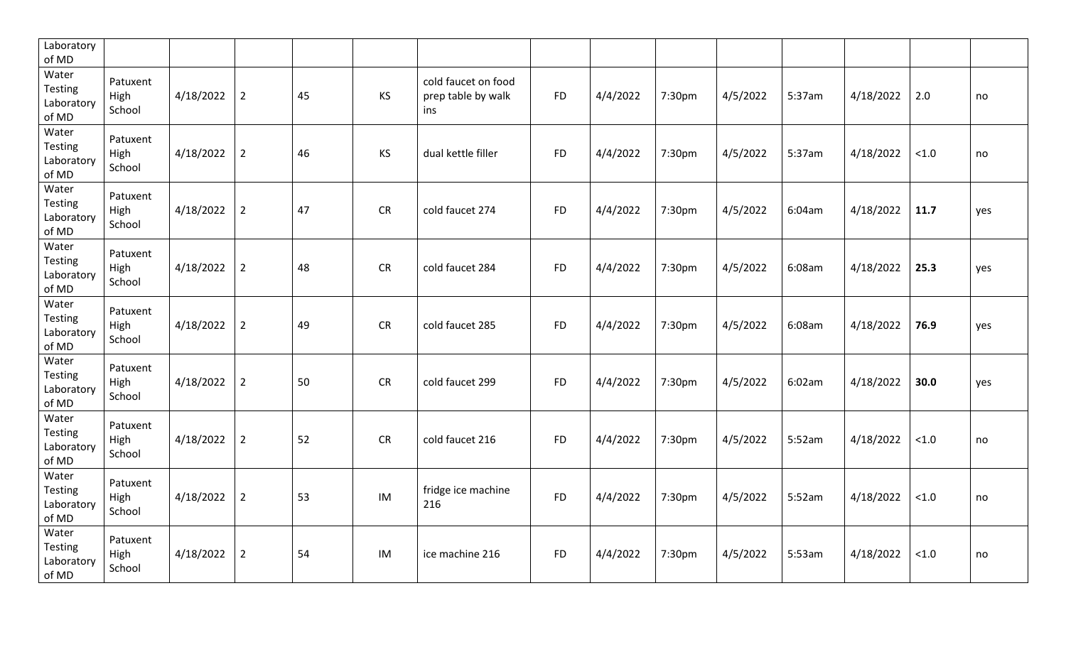| Laboratory<br>of MD                     |                            |           |                |    |           |                                                  |           |          |        |          |        |           |        |     |
|-----------------------------------------|----------------------------|-----------|----------------|----|-----------|--------------------------------------------------|-----------|----------|--------|----------|--------|-----------|--------|-----|
| Water<br>Testing<br>Laboratory<br>of MD | Patuxent<br>High<br>School | 4/18/2022 | $\overline{2}$ | 45 | KS        | cold faucet on food<br>prep table by walk<br>ins | <b>FD</b> | 4/4/2022 | 7:30pm | 4/5/2022 | 5:37am | 4/18/2022 | 2.0    | no  |
| Water<br>Testing<br>Laboratory<br>of MD | Patuxent<br>High<br>School | 4/18/2022 | $\overline{2}$ | 46 | KS        | dual kettle filler                               | <b>FD</b> | 4/4/2022 | 7:30pm | 4/5/2022 | 5:37am | 4/18/2022 | < 1.0  | no  |
| Water<br>Testing<br>Laboratory<br>of MD | Patuxent<br>High<br>School | 4/18/2022 | $\overline{2}$ | 47 | <b>CR</b> | cold faucet 274                                  | <b>FD</b> | 4/4/2022 | 7:30pm | 4/5/2022 | 6:04am | 4/18/2022 | 11.7   | yes |
| Water<br>Testing<br>Laboratory<br>of MD | Patuxent<br>High<br>School | 4/18/2022 | $\overline{2}$ | 48 | CR        | cold faucet 284                                  | <b>FD</b> | 4/4/2022 | 7:30pm | 4/5/2022 | 6:08am | 4/18/2022 | 25.3   | yes |
| Water<br>Testing<br>Laboratory<br>of MD | Patuxent<br>High<br>School | 4/18/2022 | $\overline{2}$ | 49 | <b>CR</b> | cold faucet 285                                  | <b>FD</b> | 4/4/2022 | 7:30pm | 4/5/2022 | 6:08am | 4/18/2022 | 76.9   | yes |
| Water<br>Testing<br>Laboratory<br>of MD | Patuxent<br>High<br>School | 4/18/2022 | $\overline{2}$ | 50 | <b>CR</b> | cold faucet 299                                  | <b>FD</b> | 4/4/2022 | 7:30pm | 4/5/2022 | 6:02am | 4/18/2022 | 30.0   | yes |
| Water<br>Testing<br>Laboratory<br>of MD | Patuxent<br>High<br>School | 4/18/2022 | $\overline{2}$ | 52 | <b>CR</b> | cold faucet 216                                  | <b>FD</b> | 4/4/2022 | 7:30pm | 4/5/2022 | 5:52am | 4/18/2022 | $<1.0$ | no  |
| Water<br>Testing<br>Laboratory<br>of MD | Patuxent<br>High<br>School | 4/18/2022 | $\overline{2}$ | 53 | IM        | fridge ice machine<br>216                        | <b>FD</b> | 4/4/2022 | 7:30pm | 4/5/2022 | 5:52am | 4/18/2022 | < 1.0  | no  |
| Water<br>Testing<br>Laboratory<br>of MD | Patuxent<br>High<br>School | 4/18/2022 | $\overline{2}$ | 54 | IM        | ice machine 216                                  | <b>FD</b> | 4/4/2022 | 7:30pm | 4/5/2022 | 5:53am | 4/18/2022 | $<1.0$ | no  |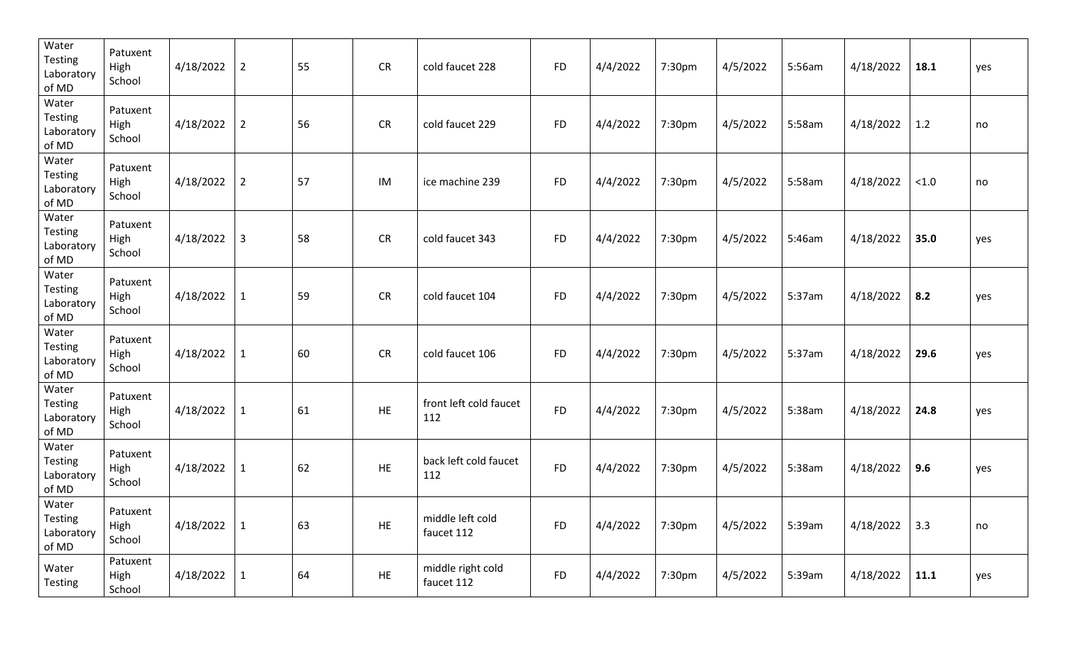| Water<br><b>Testing</b><br>Laboratory<br>of MD | Patuxent<br>High<br>School | 4/18/2022 | $\overline{2}$ | 55 | <b>CR</b> | cold faucet 228                 | <b>FD</b> | 4/4/2022 | 7:30pm | 4/5/2022 | 5:56am | 4/18/2022 | 18.1        | yes |
|------------------------------------------------|----------------------------|-----------|----------------|----|-----------|---------------------------------|-----------|----------|--------|----------|--------|-----------|-------------|-----|
| Water<br><b>Testing</b><br>Laboratory<br>of MD | Patuxent<br>High<br>School | 4/18/2022 | $\overline{2}$ | 56 | <b>CR</b> | cold faucet 229                 | <b>FD</b> | 4/4/2022 | 7:30pm | 4/5/2022 | 5:58am | 4/18/2022 | 1.2         | no  |
| Water<br><b>Testing</b><br>Laboratory<br>of MD | Patuxent<br>High<br>School | 4/18/2022 | $\overline{2}$ | 57 | IM        | ice machine 239                 | <b>FD</b> | 4/4/2022 | 7:30pm | 4/5/2022 | 5:58am | 4/18/2022 | < 1.0       | no  |
| Water<br><b>Testing</b><br>Laboratory<br>of MD | Patuxent<br>High<br>School | 4/18/2022 | 3              | 58 | <b>CR</b> | cold faucet 343                 | <b>FD</b> | 4/4/2022 | 7:30pm | 4/5/2022 | 5:46am | 4/18/2022 | 35.0        | yes |
| Water<br><b>Testing</b><br>Laboratory<br>of MD | Patuxent<br>High<br>School | 4/18/2022 | $\mathbf{1}$   | 59 | <b>CR</b> | cold faucet 104                 | <b>FD</b> | 4/4/2022 | 7:30pm | 4/5/2022 | 5:37am | 4/18/2022 | 8.2         | yes |
| Water<br><b>Testing</b><br>Laboratory<br>of MD | Patuxent<br>High<br>School | 4/18/2022 | $\mathbf{1}$   | 60 | <b>CR</b> | cold faucet 106                 | <b>FD</b> | 4/4/2022 | 7:30pm | 4/5/2022 | 5:37am | 4/18/2022 | 29.6        | yes |
| Water<br><b>Testing</b><br>Laboratory<br>of MD | Patuxent<br>High<br>School | 4/18/2022 | $\mathbf{1}$   | 61 | HE.       | front left cold faucet<br>112   | <b>FD</b> | 4/4/2022 | 7:30pm | 4/5/2022 | 5:38am | 4/18/2022 | 24.8        | yes |
| Water<br><b>Testing</b><br>Laboratory<br>of MD | Patuxent<br>High<br>School | 4/18/2022 | $\mathbf{1}$   | 62 | HE        | back left cold faucet<br>112    | <b>FD</b> | 4/4/2022 | 7:30pm | 4/5/2022 | 5:38am | 4/18/2022 | 9.6         | yes |
| Water<br>Testing<br>Laboratory<br>of MD        | Patuxent<br>High<br>School | 4/18/2022 | $\mathbf{1}$   | 63 | HE        | middle left cold<br>faucet 112  | <b>FD</b> | 4/4/2022 | 7:30pm | 4/5/2022 | 5:39am | 4/18/2022 | $\vert$ 3.3 | no  |
| Water<br><b>Testing</b>                        | Patuxent<br>High<br>School | 4/18/2022 | $\mathbf{1}$   | 64 | HE        | middle right cold<br>faucet 112 | <b>FD</b> | 4/4/2022 | 7:30pm | 4/5/2022 | 5:39am | 4/18/2022 | 11.1        | yes |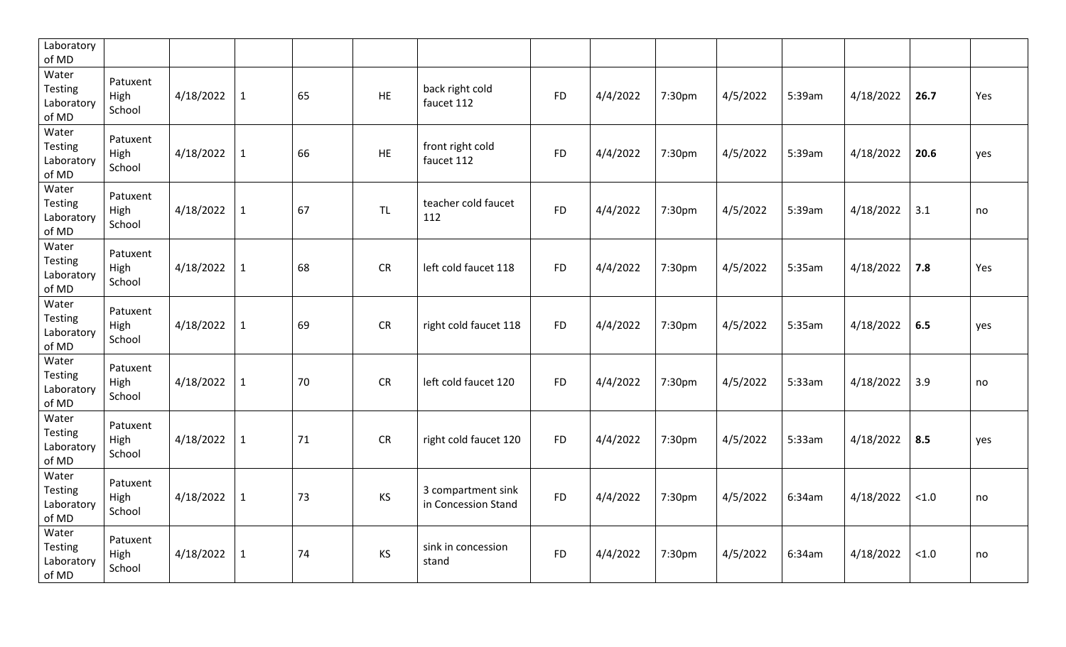| Laboratory<br>of MD                     |                            |           |              |    |           |                                           |           |          |        |          |        |           |       |     |
|-----------------------------------------|----------------------------|-----------|--------------|----|-----------|-------------------------------------------|-----------|----------|--------|----------|--------|-----------|-------|-----|
| Water<br>Testing<br>Laboratory<br>of MD | Patuxent<br>High<br>School | 4/18/2022 | $\mathbf{1}$ | 65 | HE        | back right cold<br>faucet 112             | <b>FD</b> | 4/4/2022 | 7:30pm | 4/5/2022 | 5:39am | 4/18/2022 | 26.7  | Yes |
| Water<br>Testing<br>Laboratory<br>of MD | Patuxent<br>High<br>School | 4/18/2022 | $\mathbf{1}$ | 66 | <b>HE</b> | front right cold<br>faucet 112            | <b>FD</b> | 4/4/2022 | 7:30pm | 4/5/2022 | 5:39am | 4/18/2022 | 20.6  | yes |
| Water<br>Testing<br>Laboratory<br>of MD | Patuxent<br>High<br>School | 4/18/2022 | $\mathbf{1}$ | 67 | <b>TL</b> | teacher cold faucet<br>112                | <b>FD</b> | 4/4/2022 | 7:30pm | 4/5/2022 | 5:39am | 4/18/2022 | 3.1   | no  |
| Water<br>Testing<br>Laboratory<br>of MD | Patuxent<br>High<br>School | 4/18/2022 | $\mathbf{1}$ | 68 | CR        | left cold faucet 118                      | <b>FD</b> | 4/4/2022 | 7:30pm | 4/5/2022 | 5:35am | 4/18/2022 | 7.8   | Yes |
| Water<br>Testing<br>Laboratory<br>of MD | Patuxent<br>High<br>School | 4/18/2022 | $\mathbf{1}$ | 69 | <b>CR</b> | right cold faucet 118                     | <b>FD</b> | 4/4/2022 | 7:30pm | 4/5/2022 | 5:35am | 4/18/2022 | 6.5   | yes |
| Water<br>Testing<br>Laboratory<br>of MD | Patuxent<br>High<br>School | 4/18/2022 | $\mathbf{1}$ | 70 | <b>CR</b> | left cold faucet 120                      | <b>FD</b> | 4/4/2022 | 7:30pm | 4/5/2022 | 5:33am | 4/18/2022 | 3.9   | no  |
| Water<br>Testing<br>Laboratory<br>of MD | Patuxent<br>High<br>School | 4/18/2022 | $\mathbf{1}$ | 71 | CR        | right cold faucet 120                     | <b>FD</b> | 4/4/2022 | 7:30pm | 4/5/2022 | 5:33am | 4/18/2022 | 8.5   | yes |
| Water<br>Testing<br>Laboratory<br>of MD | Patuxent<br>High<br>School | 4/18/2022 | $\mathbf{1}$ | 73 | KS        | 3 compartment sink<br>in Concession Stand | <b>FD</b> | 4/4/2022 | 7:30pm | 4/5/2022 | 6:34am | 4/18/2022 | < 1.0 | no  |
| Water<br>Testing<br>Laboratory<br>of MD | Patuxent<br>High<br>School | 4/18/2022 | $\mathbf{1}$ | 74 | <b>KS</b> | sink in concession<br>stand               | <b>FD</b> | 4/4/2022 | 7:30pm | 4/5/2022 | 6:34am | 4/18/2022 | < 1.0 | no  |